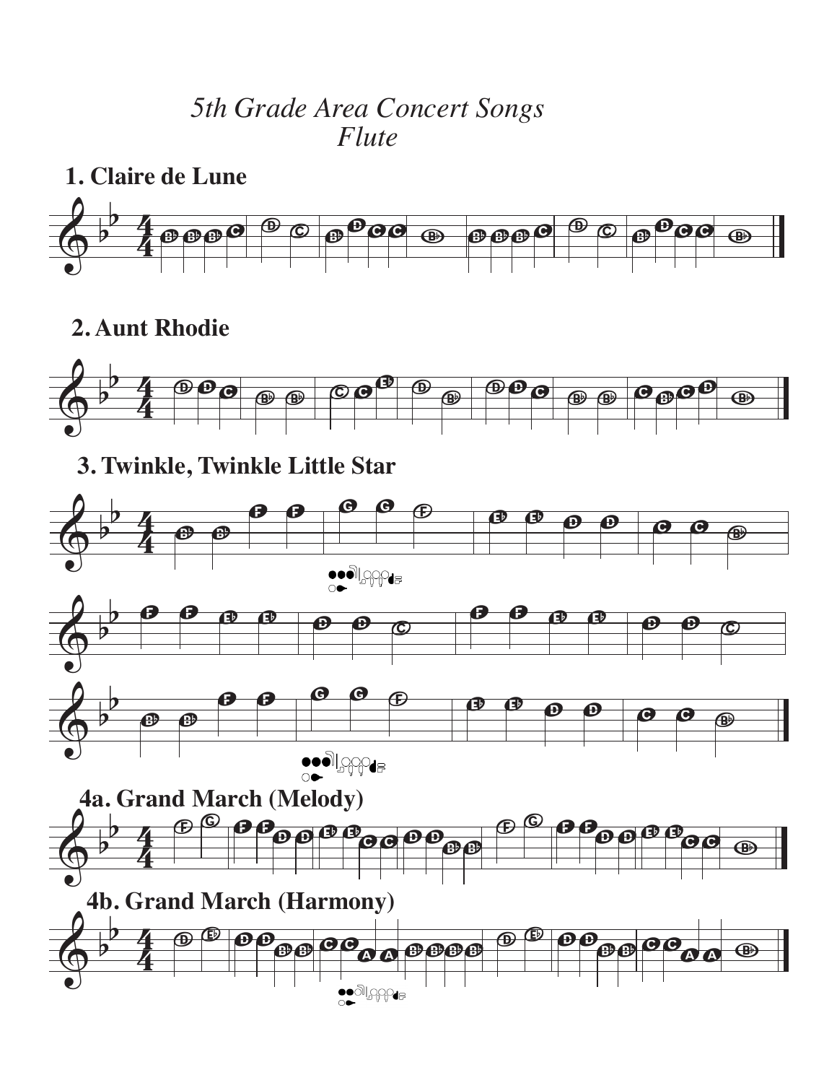## *5th Grade Area Concert Songs Flute*